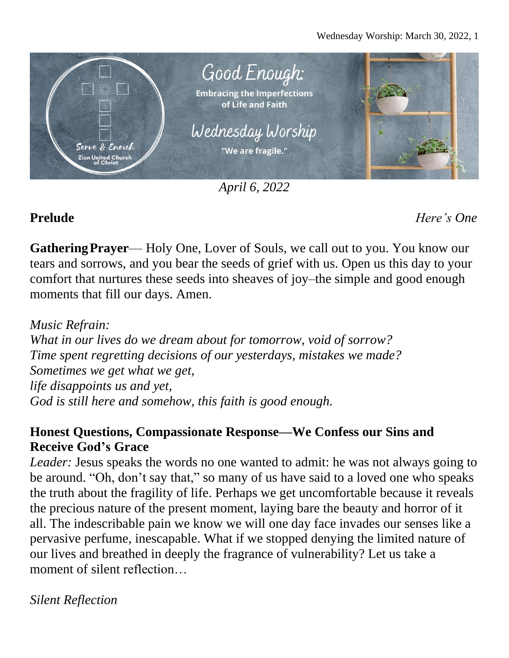

*April 6, 2022*

**Prelude** *Here's One*

**GatheringPrayer**— Holy One, Lover of Souls, we call out to you. You know our tears and sorrows, and you bear the seeds of grief with us. Open us this day to your comfort that nurtures these seeds into sheaves of joy–the simple and good enough moments that fill our days. Amen.

*Music Refrain: What in our lives do we dream about for tomorrow, void of sorrow? Time spent regretting decisions of our yesterdays, mistakes we made? Sometimes we get what we get, life disappoints us and yet, God is still here and somehow, this faith is good enough.*

# **Honest Questions, Compassionate Response—We Confess our Sins and Receive God's Grace**

*Leader:* Jesus speaks the words no one wanted to admit: he was not always going to be around. "Oh, don't say that," so many of us have said to a loved one who speaks the truth about the fragility of life. Perhaps we get uncomfortable because it reveals the precious nature of the present moment, laying bare the beauty and horror of it all. The indescribable pain we know we will one day face invades our senses like a pervasive perfume, inescapable. What if we stopped denying the limited nature of our lives and breathed in deeply the fragrance of vulnerability? Let us take a moment of silent reflection...

*Silent Reflection*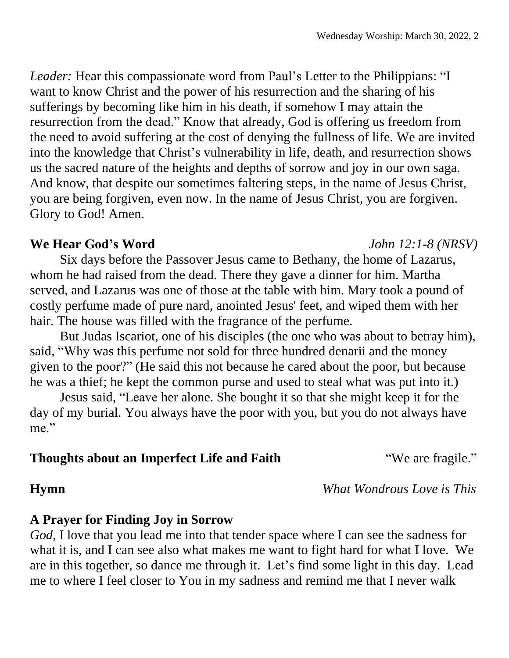*Leader:* Hear this compassionate word from Paul's Letter to the Philippians: "I want to know Christ and the power of his resurrection and the sharing of his sufferings by becoming like him in his death, if somehow I may attain the resurrection from the dead." Know that already, God is offering us freedom from the need to avoid suffering at the cost of denying the fullness of life. We are invited into the knowledge that Christ's vulnerability in life, death, and resurrection shows us the sacred nature of the heights and depths of sorrow and joy in our own saga. And know, that despite our sometimes faltering steps, in the name of Jesus Christ, you are being forgiven, even now. In the name of Jesus Christ, you are forgiven. Glory to God! Amen.

## **We Hear God's Word** *John 12:1-8 (NRSV)*

Six days before the Passover Jesus came to Bethany, the home of Lazarus, whom he had raised from the dead. There they gave a dinner for him. Martha served, and Lazarus was one of those at the table with him. Mary took a pound of costly perfume made of pure nard, anointed Jesus' feet, and wiped them with her hair. The house was filled with the fragrance of the perfume.

But Judas Iscariot, one of his disciples (the one who was about to betray him), said, "Why was this perfume not sold for three hundred denarii and the money given to the poor?" (He said this not because he cared about the poor, but because he was a thief; he kept the common purse and used to steal what was put into it.)

Jesus said, "Leave her alone. She bought it so that she might keep it for the day of my burial. You always have the poor with you, but you do not always have me."

# **Thoughts** about an Imperfect Life and Faith **Thoughts** are fragile."

**Hymn** *What Wondrous Love is This*

# **A Prayer for Finding Joy in Sorrow**

*God,* I love that you lead me into that tender space where I can see the sadness for what it is, and I can see also what makes me want to fight hard for what I love. We are in this together, so dance me through it. Let's find some light in this day. Lead me to where I feel closer to You in my sadness and remind me that I never walk